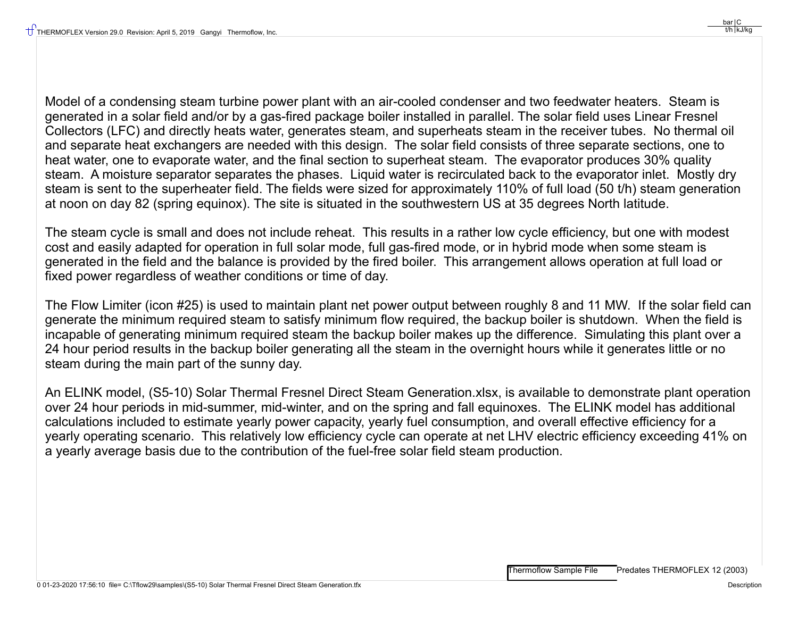Model of a condensing steam turbine power plant with an air-cooled condenser and two feedwater heaters. Steam is generated in a solar field and/or by a gas-fired package boiler installed in parallel. The solar field uses Linear Fresnel Collectors (LFC) and directly heats water, generates steam, and superheats steam in the receiver tubes. No thermal oil and separate heat exchangers are needed with this design. The solar field consists of three separate sections, one to heat water, one to evaporate water, and the final section to superheat steam. The evaporator produces 30% quality steam. A moisture separator separates the phases. Liquid water is recirculated back to the evaporator inlet. Mostly dry steam is sent to the superheater field. The fields were sized for approximately 110% of full load (50 t/h) steam generation at noon on day 82 (spring equinox). The site is situated in the southwestern US at 35 degrees North latitude.

The steam cycle is small and does not include reheat. This results in a rather low cycle efficiency, but one with modest cost and easily adapted for operation in full solar mode, full gas-fired mode, or in hybrid mode when some steam is generated in the field and the balance is provided by the fired boiler. This arrangement allows operation at full load or fixed power regardless of weather conditions or time of day.

The Flow Limiter (icon #25) is used to maintain plant net power output between roughly 8 and 11 MW. If the solar field can generate the minimum required steam to satisfy minimum flow required, the backup boiler is shutdown. When the field is incapable of generating minimum required steam the backup boiler makes up the difference. Simulating this plant over a 24 hour period results in the backup boiler generating all the steam in the overnight hours while it generates little or no steam during the main part of the sunny day.

An ELINK model, (S5-10) Solar Thermal Fresnel Direct Steam Generation.xlsx, is available to demonstrate plant operation over 24 hour periods in mid-summer, mid-winter, and on the spring and fall equinoxes. The ELINK model has additional calculations included to estimate yearly power capacity, yearly fuel consumption, and overall effective efficiency for a yearly operating scenario. This relatively low efficiency cycle can operate at net LHV electric efficiency exceeding 41% on a yearly average basis due to the contribution of the fuel-free solar field steam production.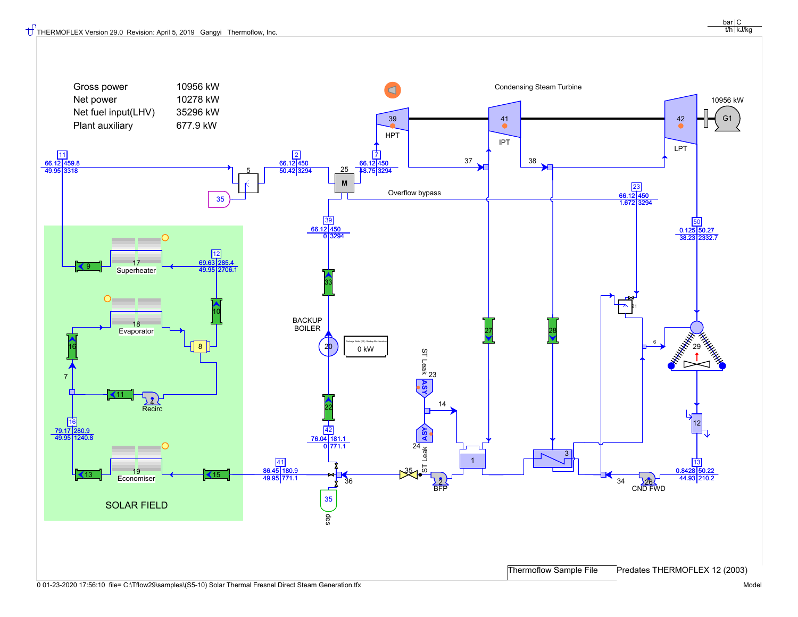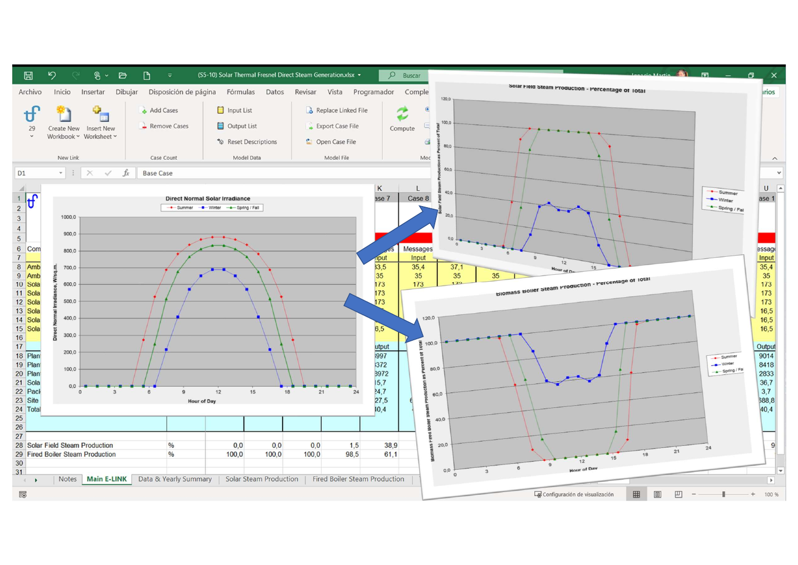